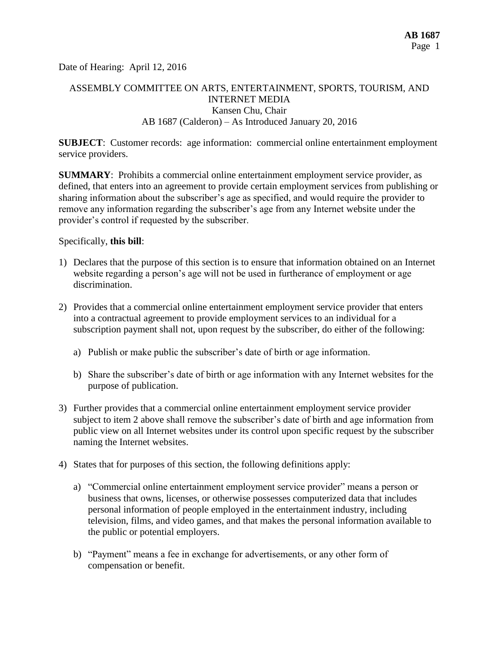Date of Hearing: April 12, 2016

# ASSEMBLY COMMITTEE ON ARTS, ENTERTAINMENT, SPORTS, TOURISM, AND INTERNET MEDIA Kansen Chu, Chair AB 1687 (Calderon) – As Introduced January 20, 2016

**SUBJECT**: Customer records: age information: commercial online entertainment employment service providers.

**SUMMARY**: Prohibits a commercial online entertainment employment service provider, as defined, that enters into an agreement to provide certain employment services from publishing or sharing information about the subscriber's age as specified, and would require the provider to remove any information regarding the subscriber's age from any Internet website under the provider's control if requested by the subscriber.

### Specifically, **this bill**:

- 1) Declares that the purpose of this section is to ensure that information obtained on an Internet website regarding a person's age will not be used in furtherance of employment or age discrimination.
- 2) Provides that a commercial online entertainment employment service provider that enters into a contractual agreement to provide employment services to an individual for a subscription payment shall not, upon request by the subscriber, do either of the following:
	- a) Publish or make public the subscriber's date of birth or age information.
	- b) Share the subscriber's date of birth or age information with any Internet websites for the purpose of publication.
- 3) Further provides that a commercial online entertainment employment service provider subject to item 2 above shall remove the subscriber's date of birth and age information from public view on all Internet websites under its control upon specific request by the subscriber naming the Internet websites.
- 4) States that for purposes of this section, the following definitions apply:
	- a) "Commercial online entertainment employment service provider" means a person or business that owns, licenses, or otherwise possesses computerized data that includes personal information of people employed in the entertainment industry, including television, films, and video games, and that makes the personal information available to the public or potential employers.
	- b) "Payment" means a fee in exchange for advertisements, or any other form of compensation or benefit.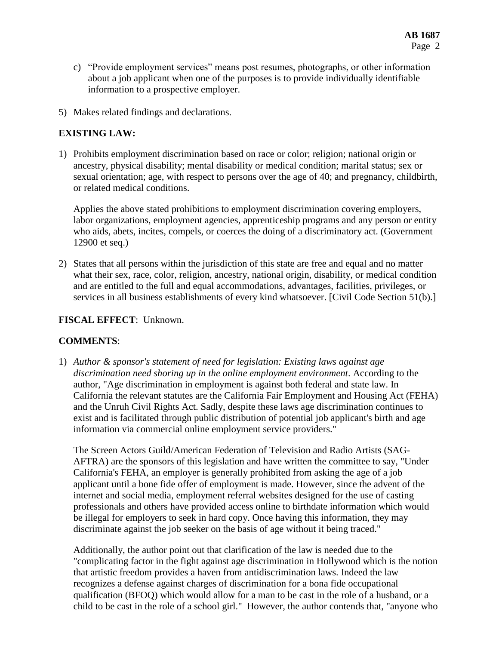- c) "Provide employment services" means post resumes, photographs, or other information about a job applicant when one of the purposes is to provide individually identifiable information to a prospective employer.
- 5) Makes related findings and declarations.

## **EXISTING LAW:**

1) Prohibits employment discrimination based on race or color; religion; national origin or ancestry, physical disability; mental disability or medical condition; marital status; sex or sexual orientation; age, with respect to persons over the age of 40; and pregnancy, childbirth, or related medical conditions.

Applies the above stated prohibitions to employment discrimination covering employers, labor organizations, employment agencies, apprenticeship programs and any person or entity who aids, abets, incites, compels, or coerces the doing of a discriminatory act. (Government 12900 et seq.)

2) States that all persons within the jurisdiction of this state are free and equal and no matter what their sex, race, color, religion, ancestry, national origin, disability, or medical condition and are entitled to the full and equal accommodations, advantages, facilities, privileges, or services in all business establishments of every kind whatsoever. [Civil Code Section 51(b).]

## **FISCAL EFFECT**: Unknown.

## **COMMENTS**:

1) *Author & sponsor's statement of need for legislation: Existing laws against age discrimination need shoring up in the online employment environment*. According to the author, "Age discrimination in employment is against both federal and state law. In California the relevant statutes are the California Fair Employment and Housing Act (FEHA) and the Unruh Civil Rights Act. Sadly, despite these laws age discrimination continues to exist and is facilitated through public distribution of potential job applicant's birth and age information via commercial online employment service providers."

The Screen Actors Guild/American Federation of Television and Radio Artists (SAG-AFTRA) are the sponsors of this legislation and have written the committee to say, "Under California's FEHA, an employer is generally prohibited from asking the age of a job applicant until a bone fide offer of employment is made. However, since the advent of the internet and social media, employment referral websites designed for the use of casting professionals and others have provided access online to birthdate information which would be illegal for employers to seek in hard copy. Once having this information, they may discriminate against the job seeker on the basis of age without it being traced."

Additionally, the author point out that clarification of the law is needed due to the "complicating factor in the fight against age discrimination in Hollywood which is the notion that artistic freedom provides a haven from antidiscrimination laws. Indeed the law recognizes a defense against charges of discrimination for a bona fide occupational qualification (BFOQ) which would allow for a man to be cast in the role of a husband, or a child to be cast in the role of a school girl." However, the author contends that, "anyone who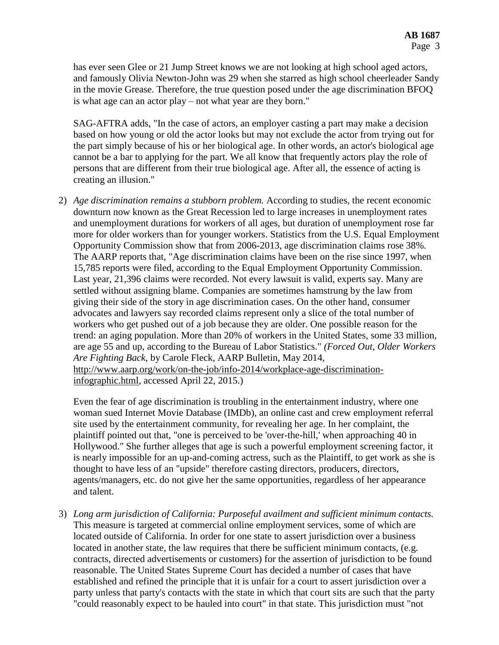has ever seen Glee or 21 Jump Street knows we are not looking at high school aged actors, and famously Olivia Newton-John was 29 when she starred as high school cheerleader Sandy in the movie Grease. Therefore, the true question posed under the age discrimination BFOQ is what age can an actor play – not what year are they born."

SAG-AFTRA adds, "In the case of actors, an employer casting a part may make a decision based on how young or old the actor looks but may not exclude the actor from trying out for the part simply because of his or her biological age. In other words, an actor's biological age cannot be a bar to applying for the part. We all know that frequently actors play the role of persons that are different from their true biological age. After all, the essence of acting is creating an illusion."

2) *Age discrimination remains a stubborn problem.* According to studies, the recent economic downturn now known as the Great Recession led to large increases in unemployment rates and unemployment durations for workers of all ages, but duration of unemployment rose far more for older workers than for younger workers. Statistics from the U.S. Equal Employment Opportunity Commission show that from 2006-2013, age discrimination claims rose 38%. The AARP reports that, "Age [discrimination](http://www.aarp.org/work/on-the-job/info-07-2013/age-discrimination-employment-act.html) claims have been on the rise since 1997, when 15,785 reports were filed, according to the Equal Employment Opportunity Commission. Last year, 21,396 claims were recorded. Not every lawsuit is valid, experts say. Many are settled without assigning blame. Companies are sometimes hamstrung by the law from giving their side of the story in age discrimination cases. On the other hand, consumer advocates and lawyers say recorded claims represent only a slice of the total number of workers who get pushed out of a job because they are older. One possible reason for the trend: an aging population. More than 20% of workers in the United States, some 33 million, are age 55 and up, according to the Bureau of Labor Statistics." *(Forced Out, Older Workers Are Fighting Back*, by Carole Fleck, AARP Bulletin, May 2014, [http://www.aarp.org/work/on-the-job/info-2014/workplace-age-discrimination](http://www.aarp.org/work/on-the-job/info-2014/workplace-age-discrimination-infographic.html)[infographic.html,](http://www.aarp.org/work/on-the-job/info-2014/workplace-age-discrimination-infographic.html) accessed April 22, 2015.)

Even the fear of age discrimination is troubling in the entertainment industry, where one woman sued Internet Movie Database (IMDb), an online cast and crew employment referral site used by the entertainment community, for revealing her age. In her complaint, the plaintiff pointed out that, "one is perceived to be 'over-the-hill,' when approaching 40 in Hollywood." She further alleges that age is such a powerful employment screening factor, it is nearly impossible for an up-and-coming actress, such as the Plaintiff, to get work as she is thought to have less of an "upside" therefore casting directors, producers, directors, agents/managers, etc. do not give her the same opportunities, regardless of her appearance and talent.

3) *Long arm jurisdiction of California: Purposeful availment and sufficient minimum contacts.*  This measure is targeted at commercial online employment services, some of which are located outside of California. In order for one state to assert jurisdiction over a business located in another state, the law requires that there be sufficient minimum contacts, (e.g. contracts, directed advertisements or customers) for the assertion of jurisdiction to be found reasonable. The [United States Supreme Court](http://en.wikipedia.org/wiki/United_States_Supreme_Court) has decided a number of cases that have established and refined the principle that it is unfair for a court to assert jurisdiction over a party unless that party's contacts with the state in which that court sits are such that the party "could reasonably expect to be hauled into court" in that state. This jurisdiction must "not